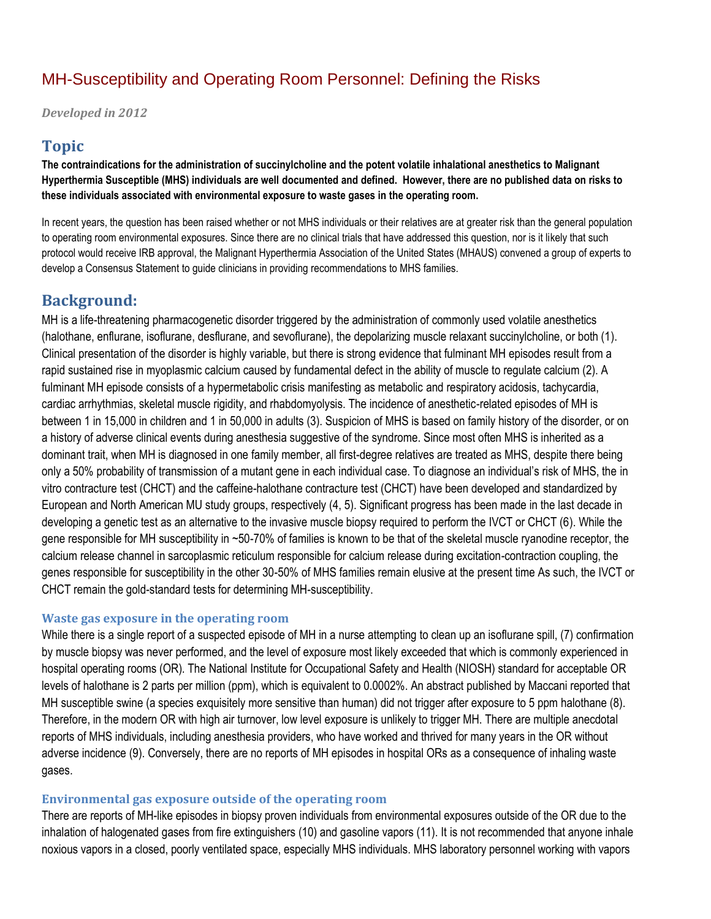# MH-Susceptibility and Operating Room Personnel: Defining the Risks

*Developed in 2012*

### **Topic**

**The contraindications for the administration of succinylcholine and the potent volatile inhalational anesthetics to Malignant Hyperthermia Susceptible (MHS) individuals are well documented and defined. However, there are no published data on risks to these individuals associated with environmental exposure to waste gases in the operating room.**

In recent years, the question has been raised whether or not MHS individuals or their relatives are at greater risk than the general population to operating room environmental exposures. Since there are no clinical trials that have addressed this question, nor is it likely that such protocol would receive IRB approval, the Malignant Hyperthermia Association of the United States (MHAUS) convened a group of experts to develop a Consensus Statement to guide clinicians in providing recommendations to MHS families.

## **Background:**

MH is a life-threatening pharmacogenetic disorder triggered by the administration of commonly used volatile anesthetics (halothane, enflurane, isoflurane, desflurane, and sevoflurane), the depolarizing muscle relaxant succinylcholine, or both (1). Clinical presentation of the disorder is highly variable, but there is strong evidence that fulminant MH episodes result from a rapid sustained rise in myoplasmic calcium caused by fundamental defect in the ability of muscle to regulate calcium (2). A fulminant MH episode consists of a hypermetabolic crisis manifesting as metabolic and respiratory acidosis, tachycardia, cardiac arrhythmias, skeletal muscle rigidity, and rhabdomyolysis. The incidence of anesthetic-related episodes of MH is between 1 in 15,000 in children and 1 in 50,000 in adults (3). Suspicion of MHS is based on family history of the disorder, or on a history of adverse clinical events during anesthesia suggestive of the syndrome. Since most often MHS is inherited as a dominant trait, when MH is diagnosed in one family member, all first-degree relatives are treated as MHS, despite there being only a 50% probability of transmission of a mutant gene in each individual case. To diagnose an individual's risk of MHS, the in vitro contracture test (CHCT) and the caffeine-halothane contracture test (CHCT) have been developed and standardized by European and North American MU study groups, respectively (4, 5). Significant progress has been made in the last decade in developing a genetic test as an alternative to the invasive muscle biopsy required to perform the IVCT or CHCT (6). While the gene responsible for MH susceptibility in ~50-70% of families is known to be that of the skeletal muscle ryanodine receptor, the calcium release channel in sarcoplasmic reticulum responsible for calcium release during excitation-contraction coupling, the genes responsible for susceptibility in the other 30-50% of MHS families remain elusive at the present time As such, the IVCT or CHCT remain the gold-standard tests for determining MH-susceptibility.

#### **Waste gas exposure in the operating room**

While there is a single report of a suspected episode of MH in a nurse attempting to clean up an isoflurane spill, (7) confirmation by muscle biopsy was never performed, and the level of exposure most likely exceeded that which is commonly experienced in hospital operating rooms (OR). The National Institute for Occupational Safety and Health (NIOSH) standard for acceptable OR levels of halothane is 2 parts per million (ppm), which is equivalent to 0.0002%. An abstract published by Maccani reported that MH susceptible swine (a species exquisitely more sensitive than human) did not trigger after exposure to 5 ppm halothane (8). Therefore, in the modern OR with high air turnover, low level exposure is unlikely to trigger MH. There are multiple anecdotal reports of MHS individuals, including anesthesia providers, who have worked and thrived for many years in the OR without adverse incidence (9). Conversely, there are no reports of MH episodes in hospital ORs as a consequence of inhaling waste gases.

#### **Environmental gas exposure outside of the operating room**

There are reports of MH-like episodes in biopsy proven individuals from environmental exposures outside of the OR due to the inhalation of halogenated gases from fire extinguishers (10) and gasoline vapors (11). It is not recommended that anyone inhale noxious vapors in a closed, poorly ventilated space, especially MHS individuals. MHS laboratory personnel working with vapors